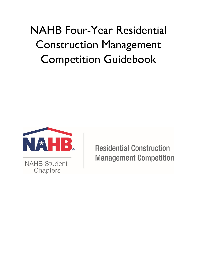# NAHB Four-Year Residential Construction Management Competition Guidebook



**NAHB Student** Chapters

**Residential Construction Management Competition**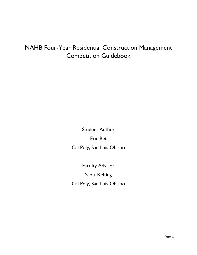## NAHB Four-Year Residential Construction Management Competition Guidebook

Student Author Eric Bet Cal Poly, San Luis Obispo

Faculty Advisor Scott Kelting Cal Poly, San Luis Obispo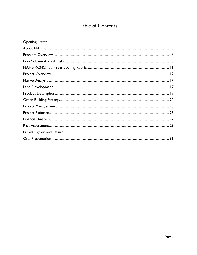## **Table of Contents**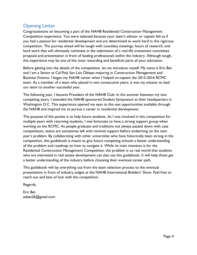## <span id="page-3-0"></span>Opening Letter

Congratulations on becoming a part of the NAHB Residential Construction Management Competition experience. You were selected because your team's advisor or captain felt as if you had a passion for residential development and are determined to work hard in this rigorous competition. The journey ahead will be tough with countless meetings, hours of research, and hard work that will ultimately culminate in the submission of a real-life investment committee proposal and presentation in front of leading professionals within the industry. Although tough, this experience may be one of the most rewarding and beneficial parts of your education.

Before getting into the details of the competition, let me introduce myself. My name is Eric Bet and I am a Senior at Cal Poly San Luis Obispo majoring in Construction Management and Business Finance. I began my NAHB career when I helped co-captain the 2015-2016 RCMC team. As a member of a team who placed in two consecutive years, it was my mission to lead our team to another successful year.

The following year, I became President of the NAHB Club. In the summer between my two competing years, I attended the NAHB sponsored Student Symposium at their headquarters in Washington D.C. This experience opened my eyes to the vast opportunities available through the NAHB and inspired me to pursue a career in residential development.

The purpose of this packet is to help future students. As I was involved in this competition for multiple years with returning students, I was fortunate to have a strong support group when working on the RCMC. As people graduate and traditions not always passed down with case competitions, teams are sometimes left with minimal support before embarking on the next year's problem. By collaborating with other universities who have historically been strong in the competition, this guidebook is meant to give future competing schools a better understanding of the problem and roadmap on how to navigate it. While its main intention is for the Residential Construction Management Competition, the problem is so real world that students who are interested in real estate development can also use this guidebook. It will help those get a better understanding of the industry before choosing their eventual career path.

This guidebook will lay everything out from the team selection process to the eventual presentation in front of industry judges at the NAHB International Builders' Show. Feel free to reach out and best of luck with the competition.

Regards,

Eric Bet eabet26@gmail.com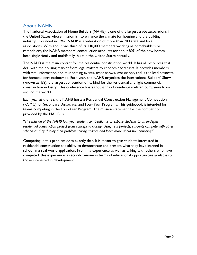## <span id="page-4-0"></span>About NAHB

The National Association of Home Builders (NAHB) is one of the largest trade associations in the United States whose mission is "to enhance the climate for housing and the building industry." Founded in 1942, NAHB is a federation of more than 700 state and local associations. With about one third of its 140,000 members working as homebuilders or remodelers, the NAHB members' construction accounts for about 80% of the new homes, both single-family and multifamily, built in the United States annually.

The NAHB is the main contact for the residential construction world. It has all resources that deal with the housing market from legal matters to economic forecasts. It provides members with vital information about upcoming events, trade shows, workshops, and is the lead advocate for homebuilders nationwide. Each year, the NAHB organizes the International Builders' Show (known as IBS), the largest convention of its kind for the residential and light commercial construction industry. This conference hosts thousands of residential-related companies from around the world.

Each year at the IBS, the NAHB hosts a Residential Construction Management Competition (RCMC) for Secondary, Associate, and Four-Year Programs. This guidebook is intended for teams competing in the Four-Year Program. The mission statement for the competition, provided by the NAHB, is:

*"The mission of the NAHB four-year student competition is to expose students to an in-depth residential construction project from concept to closing. Using real projects, students compete with other schools as they display their problem solving abilities and learn more about homebuilding."* 

Competing in this problem does exactly that. It is meant to give students interested in residential construction the ability to demonstrate and present what they have learned in school in a real-world application. From my experience as well as talking with others who have competed, this experience is second-to-none in terms of educational opportunities available to those interested in development.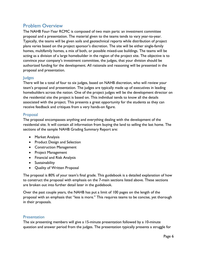## <span id="page-5-0"></span>Problem Overview

The NAHB Four-Year RCMC is composed of two main parts: an investment committee proposal and a presentation. The material given to the teams tends to vary year-to-year. Typically, the teams will be given soils and geotechnical reports while distribution of project plans varies based on the project sponsor's discretion. The site will be either single-family homes, multifamily homes, a mix of both, or possible mixed-use buildings. The teams will be acting as a division of a large homebuilder in the region of the project site. The objective is to convince your company's investment committee, the judges, that your division should be authorized funding for the development. All rationale and reasoning will be presented in the proposal and presentation.

#### Judges

There will be a total of four to six judges, based on NAHB discretion, who will review your team's proposal and presentation. The judges are typically made up of executives in leading homebuilders across the nation. One of the project judges will be the development director on the residential site the project is based on. This individual tends to know all the details associated with the project. This presents a great opportunity for the students as they can receive feedback and critiques from a very hands-on figure.

#### Proposal

The proposal encompasses anything and everything dealing with the development of the residential site. It will contain all information from buying the land to selling the last home. The sections of the sample NAHB Grading Summary Report are:

- Market Analysis
- Product Design and Selection
- Construction Management
- Project Management
- Financial and Risk Analysis
- Sustainability
- Quality of Written Proposal

The proposal is 80% of your team's final grade. This guidebook is a detailed explanation of how to construct the proposal with emphasis on the 7-main sections listed above. These sections are broken out into further detail later in the guidebook.

Over the past couple years, the NAHB has put a limit of 100 pages on the length of the proposal with an emphasis that "less is more." This requires teams to be concise, yet thorough in their proposals.

#### **Presentation**

The six presenting members will give a 15-minute presentation followed by a 10-minute question and answer period from the judges. The presentation typically presents a struggle for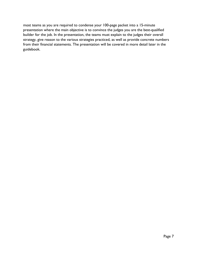most teams as you are required to condense your 100-page packet into a 15-minute presentation where the main objective is to convince the judges you are the best-qualified builder for the job. In the presentation, the teams must explain to the judges their overall strategy, give reason to the various strategies practiced, as well as provide concrete numbers from their financial statements. The presentation will be covered in more detail later in the guidebook.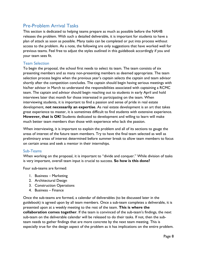## <span id="page-7-0"></span>Pre-Problem Arrival Tasks

This section is dedicated to helping teams prepare as much as possible before the NAHB releases the problem. With such a detailed deliverable, it is important for students to have a plan of attack as soon as possible. Many tasks can be completed or put into process without access to the problem. As a note, the following are only suggestions that have worked well for previous teams. Feel free to adjust the styles outlined in this guidebook accordingly if you and your team sees fit.

#### Team Selection

To begin the proposal, the school first needs to select its team. The team consists of six presenting members and as many non-presenting members as deemed appropriate. The team selection process begins when the previous year's captain selects the captain and team advisor shortly after the competition concludes. The captain should begin having serious meetings with his/her advisor in March to understand the responsibilities associated with captaining a RCMC team. The captain and advisor should begin reaching out to students in early April and hold interviews later that month for those interested in participating on the team. When interviewing students, it is important to find a passion and sense of pride in real estate development, **not necessarily an expertise**. As real estate development is an art that takes great experience to master, it is sometimes difficult to find students with extensive experience. **However, that is OK!** Students dedicated to development and willing to learn will make much better team members than those with experience who lack the passion.

When interviewing, it is important to explain the problem and all of its sections to gauge the areas of interest of the future team members. Try to have the final team selected as well as preliminary areas of interest determined before summer break to allow team members to focus on certain areas and seek a mentor in their internships.

#### Sub-Teams

When working on the proposal, it is important to "divide and conquer." While division of tasks is very important, overall team input is crucial to success. **So how is this done?**

Four sub-teams are formed:

- 1. Business Marketing
- 2. Architectural Design
- 3. Construction Operations
- 4. Business Finance

Once the sub-teams are formed, a calendar of deliverables (to be discussed later in the guidebook) is agreed upon by all team members. Once a sub-team completes a deliverable, it is presented upon at a weekly meeting to the rest of the team. **This is where the collaboration comes together**. If the team is convinced of the sub-team's findings, the next sub-team on the deliverable calendar will be released to do their tasks. If not, then the subteam needs to gather findings that are more concrete by the next team meeting. This is especially true for the design aspect of the problem as it has implications on the entire problem.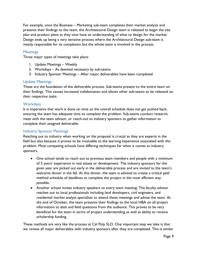For example, once the Business – Marketing sub-team completes their market analysis and presents their findings to the team, the Architectural Design team is released to begin the site plan and product plans as they now have an understanding of what to design for the market. Design ends up being a very iterative process where the Architectural Design sub-team is mainly responsible for its completion but the whole team is involved in the process.

#### **Meetings**

Three major types of meetings take place:

- 1. Update Meetings Weekly
- 2. Workdays As deemed necessary by sub-teams
- 3. Industry Sponsor Meetings After major deliverables have been completed

#### Update Meetings

These are the foundation of the deliverable process. Sub-teams present to the entire team on their findings. This causes increased collaboration and allows other sub-teams to be released on their respective tasks.

#### **Workdays**

It is imperative that work is done on time so the overall schedule does not get pushed back, ensuring the team has adequate time to complete the problem. Sub-teams conduct research, meet with the team advisor, or reach-out to industry sponsors to gather information to complete their assigned deliverable.

#### Industry Sponsor Meetings

Reaching out to industry when working on the proposal is crucial as they are experts in the field but also because it proves to be invaluable to the learning experience associated with the problem. Most competing schools have differing techniques for when it comes to industry sponsors.

- One school tends to reach out to previous team members and people with a minimum of 5 years' experience in real estate or development. The industry sponsors for the given year are picked out early in the deliverable process and are invited to the team's welcome dinner in the fall. At this dinner, the team is advised to create a critical path method schedule of deadlines to complete the project in the most efficient way possible.
- Another school invites industry speakers to every team meeting. The faculty advisor reaches out to local professionals including land developers, civil engineers, and residential market analyst specialists to attend these meetings and advise the team. At the end of October, the team presents their findings to the local HBA on all project information to date and field questions from the audience. This proves to be very beneficial for the team in terms of project understanding as well as ability to receive scholarship funding.

These methods are very like the process at Cal Poly SLO. One important step we take is that we review all major deliverables with industry sponsors after they are completed. This is similar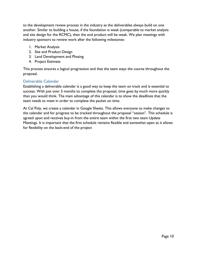to the development review process in the industry as the deliverables always build on one another. Similar to building a house, if the foundation is weak (comparable to market analysis and site design for the RCMC), then the end product will be weak. We plan meetings with industry sponsors to review work after the following milestones:

- 1. Market Analysis
- 2. Site and Product Design
- 3. Land Development and Phasing
- 4. Project Estimate

This process ensures a logical progression and that the team stays the course throughout the proposal.

#### Deliverable Calendar

Establishing a deliverable calendar is a good way to keep the team on track and is essential to success. With just over 3 months to complete the proposal, time goes by much more quickly than you would think. The main advantage of this calendar is to show the deadlines that the team needs to meet in order to complete the packet on time.

At Cal Poly, we create a calendar in Google Sheets. This allows everyone to make changes to the calendar and for progress to be tracked throughout the proposal "season". This schedule is agreed upon and receives buy-in from the entire team within the first two team Update Meetings. It is important that the first schedule remains flexible and somewhat open as it allows for flexibility on the back-end of the project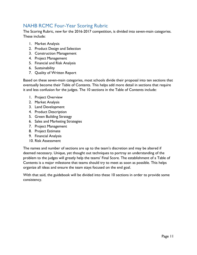## <span id="page-10-0"></span>NAHB RCMC Four-Year Scoring Rubric

The Scoring Rubric, new for the 2016-2017 competition, is divided into seven-main categories. These include:

- 1. Market Analysis
- 2. Product Design and Selection
- 3. Construction Management
- 4. Project Management
- 5. Financial and Risk Analysis
- 6. Sustainability
- 7. Quality of Written Report

Based on these seven-main categories, most schools divide their proposal into ten sections that eventually become their Table of Contents. This helps add more detail in sections that require it and less confusion for the judges. The 10 sections in the Table of Contents include:

- 1. Project Overview
- 2. Market Analysis
- 3. Land Development
- 4. Product Description
- 5. Green Building Strategy
- 6. Sales and Marketing Strategies
- 7. Project Management
- 8. Project Estimate
- 9. Financial Analysis
- 10. Risk Assessment

The names and number of sections are up to the team's discretion and may be altered if deemed necessary. Unique, yet thought out techniques to portray an understanding of the problem to the judges will greatly help the teams' Final Score. The establishment of a Table of Contents is a major milestone that teams should try to meet as soon as possible. This helps organize all ideas and ensure the team stays focused on the end goal.

With that said, the guidebook will be divided into these 10 sections in order to provide some consistency.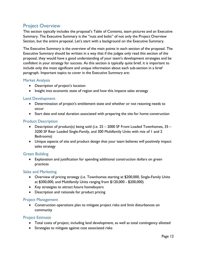## <span id="page-11-0"></span>Project Overview

This section typically includes the proposal's Table of Contents, team pictures and an Executive Summary. The Executive Summary is the "nuts and bolts" of not only the Project Overview Section, but the entire proposal. Let's start with a background on the Executive Summary.

The Executive Summary is the overview of the main points in each section of the proposal. The Executive Summary should be written in a way that if the judges only read this section of the proposal, they would have a good understanding of your team's development strategies and be confident in your strategy for success. As this section is typically quite brief, it is important to include only the most significant and unique information about each sub-section in a brief paragraph. Important topics to cover in the Executive Summary are:

#### Market Analysis

- Description of project's location
- Insight into economic state of region and how this impacts sales strategy

#### Land Development

- Determination of project's entitlement state and whether or not rezoning needs to occur
- Start date and total duration associated with preparing the site for home construction

#### Product Description

- Description of product(s) being sold (i.e. 25 2000 SF Front Loaded Townhomes, 35 3200 SF Rear Loaded Single-Family, and 300 Multifamily Units with mix of 1 and 2 Bedrooms)
- Unique aspects of site and product design that your team believes will positively impact sales strategy

#### Green Building

• Explanation and justification for spending additional construction dollars on green practices

#### Sales and Marketing

- Overview of pricing strategy (i.e. Townhomes starting at \$200,000, Single-Family Units at \$300,000, and Multifamily Units ranging from \$120,000 - \$200,000)
- Key strategies to attract future homebuyers
- Description and rationale for product pricing

#### Project Management

• Construction operations plan to mitigate project risks and limit disturbances on community

#### Project Estimate

- Total costs of project, including land development, as well as total contingency allotted
- Strategies to mitigate against cost associated risks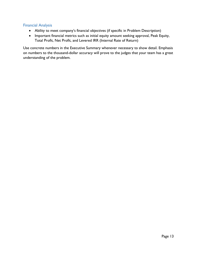#### Financial Analysis

- Ability to meet company's financial objectives (if specific in Problem Description)
- Important financial metrics such as initial equity amount seeking approval, Peak Equity, Total Profit, Net Profit, and Levered IRR (Internal Rate of Return)

Use concrete numbers in the Executive Summary whenever necessary to show detail. Emphasis on numbers to the thousand-dollar accuracy will prove to the judges that your team has a great understanding of the problem.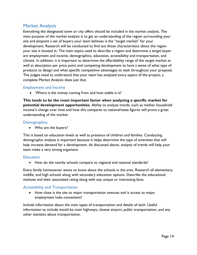## <span id="page-13-0"></span>Market Analysis

Everything the designated town or city offers should be included in the market analysis. The main purpose of the market analysis is to get an understanding of the region surrounding your site and pinpoint a set of buyers your team believes is the "target market" for your development. Research will be conducted to find out those characteristics about the region your site is located in. The main topics used to describe a region and determine a target buyer are employment and income, demographics, education, accessibility and transportation, and climate. In addition, it is important to determine the affordability range of the target market as well as absorption per price point and competing development to have a sense of what type of products to design and what specific competitive advantages to seek throughout your proposal. The judges need to understand that your team has analyzed every aspect of the project; a complete Market Analysis does just that.

#### Employment and Income

• Where is the money coming from and how stable is it?

**This tends to be the most important factor when analyzing a specific market for potential development opportunities.** Ability to analyze trends, such as median household income's change over time and how this compares to national/state figures will prove a great understanding of the market.

#### **Demographics**

• Who are the buyers?

This is based on education levels as well as presence of children and families. Conducting demographic analysis is important because it helps determine the type of amenities that will help increase demand for a development. As discussed above, analysis of trends will help your team make a very strong argument.

#### **Education**

• How do the nearby schools compare to regional and national standards?

Every family homeowner wants to know about the schools in the area. Research all elementary, middle, and high schools along with secondary education options. Describe the educational institute and their associated rating along with any unique or interesting facts.

#### Accessibility and Transportation

• How close is the site to major transportation avenues and is access to major employment hubs convenient?

Include information about the main types of transportation and details of each. Useful information to include would be main highways, closest airport, public transportation, and any other statistics about transportation.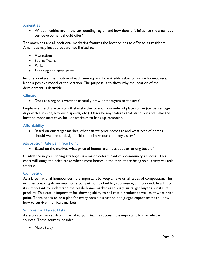#### **Amenities**

• What amenities are in the surrounding region and how does this influence the amenities our development should offer?

The amenities are all additional marketing features the location has to offer to its residents. Amenities may include but are not limited to:

- Attractions
- Sports Teams
- Parks
- Shopping and restaurants

Include a detailed description of each amenity and how it adds value for future homebuyers. Keep a positive model of the location. The purpose is to show why the location of the development is desirable.

#### Climate

• Does this region's weather naturally draw homebuyers to the area?

Emphasize the characteristics that make the location a wonderful place to live (i.e. percentage days with sunshine, low wind speeds, etc.). Describe any features that stand out and make the location more attractive. Include statistics to back up reasoning.

#### **Affordability**

• Based on our target market, what can we price homes at and what type of homes should we plan to design/build to optimize our company's sales?

#### Absorption Rate per Price Point

• Based on the market, what price of homes are most popular among buyers?

Confidence in your pricing strategies is a major determinant of a community's success. This chart will gauge the price range where most homes in the market are being sold, a very valuable statistic.

#### **Competition**

As a large national homebuilder, it is important to keep an eye on all types of competition. This includes breaking down new home competition by builder, subdivision, and product. In addition, it is important to understand the resale home market as this is your target buyer's substitute product. This data is important for showing ability to sell resale product as well as at what price point. There needs to be a plan for every possible situation and judges expect teams to know how to survive in difficult markets.

#### Sources for Market Data

As accurate market data is crucial to your team's success, it is important to use reliable sources. These sources include:

• MetroStudy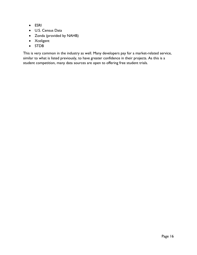- ESRI
- U.S. Census Data
- Zonda (provided by NAHB)
- Xceligent
- STDB

This is very common in the industry as well. Many developers pay for a market-related service, similar to what is listed previously, to have greater confidence in their projects. As this is a student competition, many data sources are open to offering free student trials.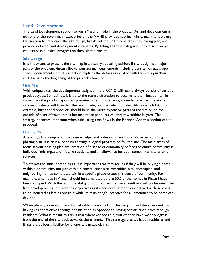## <span id="page-16-0"></span>Land Development

The Land Development section serves a "hybrid" role in the proposal. As land development is not one of the seven-main categories on the NAHB provided scoring rubric, many schools use this section to introduce the site design, break out the unit mix, establish a phasing plan, and provide detailed land development estimates. By fitting all these categories in one section, you can establish a logical progression through the packet.

#### Site Design

It is important to present the site map in a visually appealing fashion. If site design is a major part of the problem, discuss the various zoning requirements including density, lot sizes, open space requirements, etc. This section explains the details associated with the site's purchase and discusses the beginning of the project's timeline.

#### Unit Mix

With unique sites, the developments assigned in the RCMC will nearly always consist of various product types. Sometimes, it is up to the team's discretion to determine their location while sometimes the product sponsors predetermine it. Either way, it needs to be clear how the various products will fit within the overall site, but also which product fits on which lots. For example, higher end products should be in the more expensive parts of the site or on the outside of a set of townhomes because these products will target wealthier buyers. This strategy becomes important when calculating cash flows in the Financial Analysis section of the proposal.

#### Phasing Plan

A phasing plan is important because it helps limit a development's risk. When establishing a phasing plan, it is crucial to think through a logical progression for the site. The main areas of focus in your phasing plan are: creation of a sense of community before the entire community is built-out, limit impacts on future residents and an allowance for your company a natural exit strategy.

To attract the initial homebuyers, it is important that they feel as if they will be buying a home within a community, not just within a construction site. Amenities, site landscaping, and neighboring homes completed within a specific phase create this sense of community. For example, amenities in Phase I should be completed before 50% of the homes in Phase I have been occupied. With this said, the ability to supply amenities may result in conflicts between the land development and marketing objectives as its land development's incentive for these costs to be incurred as late as possible while its marketing's incentive for all amenities to be complete day one.

When phasing a development, homebuilders want to limit their impact on future residents by having residents drive through construction as opposed to having construction drive through residents. What is meant by this is that whenever possible, you want to have work progress from the end of the site back towards the entrance. This strategy creates happy residents and limits the builder's liability for property damage claims.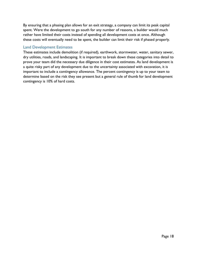By ensuring that a phasing plan allows for an exit strategy, a company can limit its peak capital spent. Were the development to go south for any number of reasons, a builder would much rather have limited their costs instead of spending all development costs at once. Although these costs will eventually need to be spent, the builder can limit their risk if phased properly.

#### Land Development Estimates

These estimates include demolition (if required), earthwork, stormwater, water, sanitary sewer, dry utilities, roads, and landscaping. It is important to break down these categories into detail to prove your team did the necessary due diligence in their cost estimates. As land development is a quite risky part of any development due to the uncertainty associated with excavation, it is important to include a contingency allowance. The percent contingency is up to your team to determine based on the risk they see present but a general rule of thumb for land development contingency is 10% of hard costs.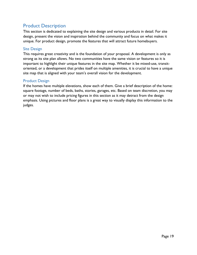## <span id="page-18-0"></span>Product Description

This section is dedicated to explaining the site design and various products in detail. For site design, present the vision and inspiration behind the community and focus on what makes it unique. For product design, promote the features that will attract future homebuyers.

#### Site Design

This requires great creativity and is the foundation of your proposal. A development is only as strong as its site plan allows. No two communities have the same vision or features so it is important to highlight their unique features in the site map. Whether it be mixed-use, transitoriented, or a development that prides itself on multiple amenities, it is crucial to have a unique site map that is aligned with your team's overall vision for the development.

#### Product Design

If the homes have multiple elevations, show each of them. Give a brief description of the home: square footage, number of beds, baths, stories, garages, etc. Based on team discretion, you may or may not wish to include pricing figures in this section as it may detract from the design emphasis. Using pictures and floor plans is a great way to visually display this information to the judges.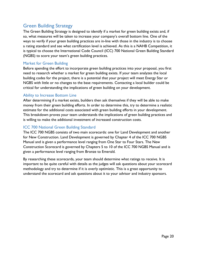## <span id="page-19-0"></span>Green Building Strategy

The Green Building Strategy is designed to identify if a market for green building exists and, if so, what measures will be taken to increase your company's overall bottom line. One of the ways to verify if your green building practices are in-line with those in the industry is to choose a rating standard and see what certification level is achieved. As this is a NAHB Competition, it is typical to choose the International Code Council (ICC) 700 National Green Building Standard (NGBS) to score your team's green building practices.

#### Market for Green Building

Before spending the effort to incorporate green building practices into your proposal, you first need to research whether a market for green building exists. If your team analyzes the local building codes for the project, there is a potential that your project will meet Energy Star or NGBS with little or no changes to the base requirements. Contacting a local builder could be critical for understanding the implications of green building on your development.

#### Ability to Increase Bottom Line

After determining if a market exists, builders then ask themselves if they will be able to make money from their green building efforts. In order to determine this, try to determine a realistic estimate for the additional costs associated with green building efforts in your development. This breakdown proves your team understands the implications of green building practices and is willing to make the additional investment of increased construction costs.

#### ICC 700 National Green Building Standard

The ICC 700 NGBS consists of two main scorecards: one for Land Development and another for New Construction. Land Development is governed by Chapter 4 of the ICC 700 NGBS Manual and is given a performance level ranging from One Star to Four Stars. The New Construction Scorecard is governed by Chapters 5 to 10 of the ICC 700 NGBS Manual and is given a performance level ranging from Bronze to Emerald.

By researching these scorecards, your team should determine what ratings to receive. It is important to be quite careful with details as the judges will ask questions about your scorecard methodology and try to determine if it is overly optimistic. This is a great opportunity to understand the scorecard and ask questions about it to your advisor and industry sponsors.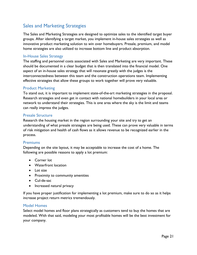## Sales and Marketing Strategies

The Sales and Marketing Strategies are designed to optimize sales to the identified target buyer groups. After identifying a target market, you implement in-house sales strategies as well as innovative product marketing solution to win over homebuyers. Presale, premium, and model home strategies are also utilized to increase bottom line and product absorption.

#### In-House Sales Strategy

The staffing and personnel costs associated with Sales and Marketing are very important. These should be documented in a clear budget that is then translated into the financial model. One aspect of an in-house sales strategy that will resonate greatly with the judges is the interconnectedness between this team and the construction operations team. Implementing effective strategies that allow these groups to work together will prove very valuable.

#### Product Marketing

To stand out, it is important to implement state-of-the-art marketing strategies in the proposal. Research strategies and even get in contact with national homebuilders in your local area or network to understand their strategies. This is one area where the sky is the limit and teams can really impress the judges.

#### Presale Structure

Research the housing market in the region surrounding your site and try to get an understanding of what presale strategies are being used. These can prove very valuable in terms of risk mitigation and health of cash flows as it allows revenue to be recognized earlier in the process.

#### Premiums

Depending on the site layout, it may be acceptable to increase the cost of a home. The following are possible reasons to apply a lot premium:

- Corner lot
- Waterfront location
- Lot size
- Proximity to community amenities
- Cul-de-sac
- Increased natural privacy

If you have proper justification for implementing a lot premium, make sure to do so as it helps increase project return metrics tremendously.

#### Model Homes

Select model homes and floor plans strategically as customers tend to buy the homes that are modeled. With that said, modeling your most profitable homes will be the best investment for your company.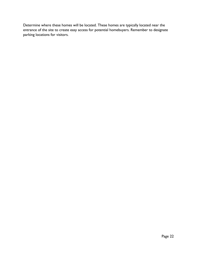<span id="page-21-0"></span>Determine where these homes will be located. These homes are typically located near the entrance of the site to create easy access for potential homebuyers. Remember to designate parking locations for visitors.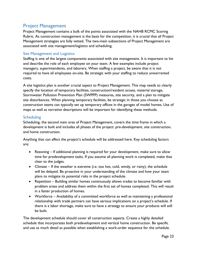## Project Management

Project Management contains a bulk of the points associated with the NAHB RCMC Scoring Rubric. As construction management is the basis for the competition, it is crucial that all Project Management strategies are fully vetted. The two-main subsections of Project Management are associated with site management/logistics and scheduling.

#### Site Management and Logistics

Staffing is one of the largest components associated with site management. It is important to list and describe the role of each employee on your team. A few examples include project managers, superintendents, and laborers. When staffing a project, be aware that it is not required to have all employees on-site. Be strategic with your staffing to reduce unwarranted costs.

A site logistics plan is another crucial aspect to Project Management. This map needs to clearly specify the location of temporary facilities, construction/resident access, material storage, Stormwater Pollution Prevention Plan (SWPPP) measures, site security, and a plan to mitigate site disturbances. When planning temporary facilities, be strategic in those you choose as construction teams can typically set up temporary offices in the garages of model homes. Use of maps as well as narrative descriptions will be important for identifying these methods.

#### **Scheduling**

Scheduling, the second main area of Project Management, covers the time frame in which a development is built and includes all phases of the project: pre-development, site construction, and home construction.

Anything that can affect the project's schedule will be addressed here. Key scheduling factors are:

- Rezoning If additional planning is required for your development, make sure to allow time for predevelopment tasks. If you assume all planning work is completed, make that clear to the judges.
- Climate If the weather is extreme (i.e. too hot, cold, windy, or rainy), the schedule will be delayed. Be proactive in your understanding of the climate and how your team plans to mitigate its potential risks in the project schedule.
- Repetition Building similar homes continuously allows trades to become familiar with problem areas and address them within the first set of homes completed. This will result in a faster production of homes.
- Workforce Availability of a committed workforce as well as maintaining a professional relationship with trade partners can have serious implications on a project's schedule. If there is a labor shortage, make sure to have a strategy to ensure your products will still be built.

The development schedule should cover all construction aspects. Create a highly detailed schedule that incorporates both predevelopment and vertical home construction. Be specific and use as much detail as possible when establishing a work-order sequence for the schedule.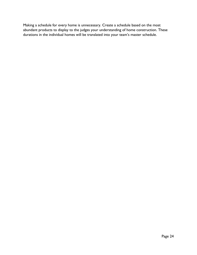<span id="page-23-0"></span>Making a schedule for every home is unnecessary. Create a schedule based on the most abundant products to display to the judges your understanding of home construction. These durations in the individual homes will be translated into your team's master schedule.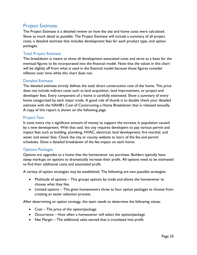## Project Estimate

The Project Estimate is a detailed review on how the site and home costs were calculated. Show as much detail as possible. The Project Estimate will include a summary of all project costs, a detailed estimate that includes development fees for each product type, and option packages.

#### Total Project Estimate

This breakdown is meant to show all development associated costs and serve as a basis for the eventual figures to be incorporated into the financial model. Note that the values in this chart will be slightly off from what is used in the financial model because those figures consider inflation over time while this chart does not.

#### Detailed Estimate

The detailed estimate strictly defines the total direct construction cost of the home. This price does not include indirect costs such as land acquisition, land improvement, or project and developer fees. Every component of a home is carefully estimated. Show a summary of every home categorized by each major trade. A good rule of thumb is to double check your detailed estimate with the NAHB's Cost of Constructing a Home Breakdown that is released annually. A copy of this report is shown on the following page.

#### Project Fees

It costs every city a significant amount of money to support the increase in population caused by a new development. With that said, the city requires developers to pay various permit and impact fees such as building, plumbing, HVAC, electrical, land development, fire marshal, and water and sewer fees. Check the city or county website to learn of the fee and permit schedules. Show a detailed breakdown of the fee impact on each home.

#### Options Packages

Options are upgrades to a home that the homeowner can purchase. Builders typically have steep markups on options to dramatically increase their profit. All options need to be estimated to find their additional costs and associated profit.

A variety of option strategies may be established. The following are two possible strategies:

- Multitude of options This groups options by trade and allows the homeowner to choose what they like.
- Limited options This gives homeowners three to four option packages to choose from creating an easier selection process.

After determining an option strategy, the team needs to determine the following values:

- Cost The price of the option/package
- Occurrence How often a homeowner will select the option/package
- Net Margin The additional sales earned that is translated into profit.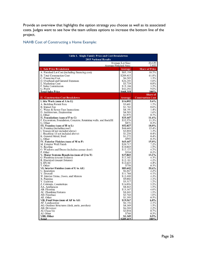Provide an overview that highlights the option strategy you choose as well as its associated costs. Judges want to see how the team utilizes options to increase the bottom line of the project.

#### NAHB Cost of Constructing a Home Example:

| Table 1. Single Family Price and Cost Breakdowns<br><b>2015 National Results</b> |                                             |                          |  |  |  |  |  |
|----------------------------------------------------------------------------------|---------------------------------------------|--------------------------|--|--|--|--|--|
|                                                                                  | Average Lot Size:<br>Average Finished Area: | 20,129<br>2,802          |  |  |  |  |  |
| <b>I. Sale Price Breakdown</b>                                                   | <b>Average</b>                              | <b>Share of Price</b>    |  |  |  |  |  |
| A. Finished Lot Cost (including financing cost)                                  | \$85,139                                    | 18.2%                    |  |  |  |  |  |
| <b>B.</b> Total Construction Cost                                                | \$289,415                                   | 61.8%                    |  |  |  |  |  |
| C. Financing Cost                                                                | \$6,285                                     | 1.3%                     |  |  |  |  |  |
| D. Overhead and General Expenses                                                 | \$26,345                                    | 5.6%                     |  |  |  |  |  |
| E. Marketing Cost                                                                | \$3,739                                     | 0.8%                     |  |  |  |  |  |
| F. Sales Commission<br>G. Profit                                                 | \$15,104<br>\$42,292                        | 3.2%<br>$9.0\%$          |  |  |  |  |  |
| <b>Total Sales Price</b>                                                         | \$468.318                                   | 100%                     |  |  |  |  |  |
|                                                                                  |                                             | <b>Share</b> of          |  |  |  |  |  |
| <b>II. Construction Cost Breakdown</b>                                           | Average                                     | <b>Construction Cost</b> |  |  |  |  |  |
| I. Site Work (sum of A to E)                                                     | \$16,092                                    | 5.6%                     |  |  |  |  |  |
| A. Building Permit Fees                                                          | \$3,601                                     | 1.2%                     |  |  |  |  |  |
| <b>B.</b> Impact Fee                                                             | \$1,742                                     | 0.6%                     |  |  |  |  |  |
| C. Water & Sewer Fees Inspections<br>D. Architecture, Engineering                | \$4,191<br>\$4,583                          | 1.4%<br>1.6%             |  |  |  |  |  |
| E. Other                                                                         | \$1,975                                     | 0.7%                     |  |  |  |  |  |
| II. Foundations (sum of F to G)                                                  | \$33,447                                    | 11.6%                    |  |  |  |  |  |
| F. Excavation, Foundation, Concrete, Retaining walls, and Backfill               | \$32,576                                    | 11.3%                    |  |  |  |  |  |
| G. Other                                                                         | \$871                                       | 0.3%                     |  |  |  |  |  |
| III. Framing (sum of H to L)                                                     | \$52,027                                    | 18.0%                    |  |  |  |  |  |
| H. Framing (including roof)                                                      | \$44,640                                    | 15.4%                    |  |  |  |  |  |
| I. Trusses (if not included above)                                               | \$3,884                                     | 1.3%                     |  |  |  |  |  |
| J. Sheathing (if not included above)<br>K. General Metal, Steel                  | \$1,238<br>\$1,272                          | 0.4%<br>0.4%             |  |  |  |  |  |
| L. Other                                                                         | \$993                                       | 0.3%                     |  |  |  |  |  |
| IV. Exterior Finishes (sum of M to P)                                            | \$43,447                                    | 15.0%                    |  |  |  |  |  |
| M. Exterior Wall Finish                                                          | \$20,717                                    | 7.2%                     |  |  |  |  |  |
| N. Roofing                                                                       | \$10,069                                    | 3.5%                     |  |  |  |  |  |
| O. Windows and Doors (including garage door)                                     | \$12,127                                    | 4.2%                     |  |  |  |  |  |
| P. Other<br>V. Major Systems Rough-ins (sum of Q to T)                           | \$534<br>\$37,843                           | 0.2%<br>13.1%            |  |  |  |  |  |
| Q. Plumbing (except fixtures)                                                    | \$12,302                                    | 4.3%                     |  |  |  |  |  |
| R. Electrical (except fixtures)                                                  | \$12,181                                    | 4.2%                     |  |  |  |  |  |
| S. HVAC                                                                          | \$12,623                                    | 4.4%                     |  |  |  |  |  |
| T. Other                                                                         | \$738                                       | 0.3%                     |  |  |  |  |  |
| VI. Interior Finishes (sum of U to AE)                                           | \$85,642                                    | 29.6%                    |  |  |  |  |  |
| U. Insulation                                                                    | \$6,467                                     | 2.2%<br>4.1%             |  |  |  |  |  |
| V. Drywall<br>W. Interior Trims, Doors, and Mirrors                              | \$11,744<br>\$12,409                        | 4.3%                     |  |  |  |  |  |
| X. Painting                                                                      | \$9,002                                     | 3.1%                     |  |  |  |  |  |
| Y. Lighting                                                                      | \$3,517                                     | 1.2%                     |  |  |  |  |  |
| Z. Cabinets, Countertops                                                         | \$16,056                                    | 5.5%                     |  |  |  |  |  |
| AA. Appliances                                                                   | \$4,463                                     | 1.5%                     |  |  |  |  |  |
| AB. Flooring                                                                     | \$13,367                                    | 4.6%                     |  |  |  |  |  |
| AC. Plumbing Fixtures<br>AD. Fireplace                                           | \$4,465<br>\$2,760                          | 1.5%<br>1.0%             |  |  |  |  |  |
| AE. Other                                                                        | \$1,393                                     | 0.5%                     |  |  |  |  |  |
| VII. Final Steps (sum of AF to AJ)                                               | \$19,567                                    | 6.8%                     |  |  |  |  |  |
| AF. Landscaping                                                                  | \$6,156                                     | 2.1%                     |  |  |  |  |  |
| AG. Outdoor Structures (deck, patio, porches)                                    | \$4,349                                     | 1.5%                     |  |  |  |  |  |
| AH. Driveway                                                                     | \$6,240                                     | 2.2%                     |  |  |  |  |  |
| AI. Clean Up                                                                     | \$2,054                                     | 0.7%                     |  |  |  |  |  |
| AJ. Other<br>VIII. Other                                                         | \$768<br>\$1,349                            | $0.3\%$<br>0.5%          |  |  |  |  |  |
| Total                                                                            | \$289.415                                   | 100%                     |  |  |  |  |  |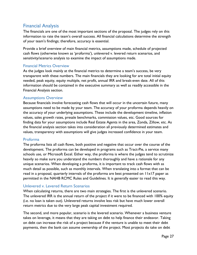## <span id="page-26-0"></span>Financial Analysis

The financials are one of the most important sections of the proposal. The judges rely on this information to rate the team's overall success. All financial calculations determine the strength of your team's findings; therefore, accuracy is essential.

Provide a brief overview of main financial metrics, assumptions made, schedule of projected cash flows (otherwise known as 'proforma'), unlevered v. levered return scenarios, and sensitivity/scenario analysis to examine the impact of assumptions made.

#### Financial Metrics Overview

As the judges look mainly at the financial metrics to determine a team's success, be very transparent with these numbers. The main financials they are looking for are total initial equity needed, peak equity, equity multiple, net profit, annual IRR and break-even date. All of this information should be contained in the executive summary as well as readily accessible in the Financial Analysis section.

#### Assumptions Overview

Because financials involve forecasting cash flows that will occur in the uncertain future, many assumptions need to be made by your team. The accuracy of your proforma depends heavily on the accuracy of your underlying assumptions. These include the development timeline, inflation values, sales growth rates, presale benchmarks, commission values, etc. Good sources for finding data for your assumptions include Real Estate Agents in the area, Zonda, Zillow, etc. As the financial analysis section takes into consideration all previously determined estimates and values, transparency with assumptions will give judges increased confidence in your team.

#### Proforma

The proforma lists all cash flows, both positive and negative that occur over the course of the development. The proforma can be developed in programs such as Tract-Pie, a service many schools use, or Microsoft Excel. Either way, the proforma is where the judges tend to scrutinize heavily so make sure you understand the numbers thoroughly and have a rationale for any unique scenarios. When developing a proforma, it is important to track cash flows with as much detail as possible, such as monthly intervals. When translating into a format that can be read in a proposal, quarterly intervals of the proforma are best presented on 11x17 paper as permitted in the NAHB RCMC Rules and Guidelines. It is generally easier to read this way.

#### Unlevered v. Levered Return Scenarios

When calculating returns, there are two main strategies. The first is the unlevered scenario. The unlevered IRR is the annual return of the project if it were to be financed with 100% equity (i.e. no loan is taken out). Unlevered returns involve less risk but have much lower overall return metrics due to the very large peak capital investment required.

The second, and more popular, scenario is the levered scenario. Whenever a business venture takes on leverage, it means that they are taking on debt to help finance their endeavor. Taking on debt can increase the risk of a project because if the venture is unable to meet their debt payments, then the bank can assume ownership of the project. Most projects do take on debt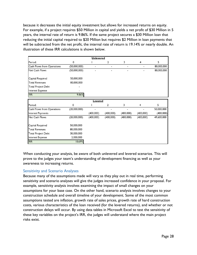because it decreases the initial equity investment but allows for increased returns on equity. For example, if a project requires \$50 Million in capital and yields a net profit of \$30 Million in 5 years, the internal rate of return is 9.86%. If the same project secures a \$30 Million loan that reducing the initial capital required to \$20 Million but requires \$2 Million in loan payments that will be subtracted from the net profit, the internal rate of return is 19.14% or nearly double. An illustration of these IRR calculations is shown below.

| <b>Unlevered</b>                  |              |           |                          |           |                |            |  |  |  |
|-----------------------------------|--------------|-----------|--------------------------|-----------|----------------|------------|--|--|--|
| Period:                           | 0            |           | 2                        | 3         | 4              | 5          |  |  |  |
| <b>Cash Flows from Operations</b> | (50,000,000) | -         | $\overline{\phantom{0}}$ |           |                | 80,000,000 |  |  |  |
| Net Cash Flows                    | (50,000,000) | -         | $\blacksquare$           |           |                | 80,000,000 |  |  |  |
| Capital Required                  | 50,000,000   |           |                          |           |                |            |  |  |  |
| <b>Total Revenues</b>             | 80,000,000   |           |                          |           |                |            |  |  |  |
| <b>Total Project Debt</b>         |              |           |                          |           |                |            |  |  |  |
| Interest Expense                  |              |           |                          |           |                |            |  |  |  |
| <b>IRR</b>                        | 9.86%        |           |                          |           |                |            |  |  |  |
| <b>Levered</b>                    |              |           |                          |           |                |            |  |  |  |
| Period:                           | 0            |           | $\overline{2}$           | 3         | $\overline{4}$ | 5          |  |  |  |
| Cash Flows from Operations        | (20,000,000) |           |                          |           |                | 50,000,000 |  |  |  |
| Interest Payments                 |              | (400,000) | (400,000)                | (400,000) | (400,000)      | (400,000)  |  |  |  |
| <b>Net Cash Flows</b>             | (20,000,000) | (400,000) | (400,000)                | (400,000) | (400,000)      | 49,600,000 |  |  |  |
| Capital Required                  | 50,000,000   |           |                          |           |                |            |  |  |  |
| <b>Total Revenues</b>             | 80,000,000   |           |                          |           |                |            |  |  |  |
| <b>Total Project Debt</b>         | 30,000,000   |           |                          |           |                |            |  |  |  |
| Interest Expense                  | 2,000,000    |           |                          |           |                |            |  |  |  |
| <b>IRR</b>                        | 18.69%       |           |                          |           |                |            |  |  |  |

When conducting your analysis, be aware of both unlevered and levered scenarios. This will prove to the judges your team's understanding of development financing as well as your awareness to increasing returns.

#### Sensitivity and Scenario Analyses

Because many of the assumptions made will vary as they play out in real time, performing sensitivity and scenario analyses will give the judges increased confidence in your proposal. For example, sensitivity analysis involves examining the impact of small changes on your assumptions for your base case. On the other hand, scenario analysis involves changes to your construction schedule and overall timeline of your development. Some of the most common assumptions tested are inflation, growth rate of sales prices, growth rate of hard construction costs, various characteristics of the loan received (for the levered returns), and whether or not construction delays will occur. By using data tables in Microsoft Excel to test the sensitivity of these key variables on the project's IRR, the judges will understand where the main project risks exist.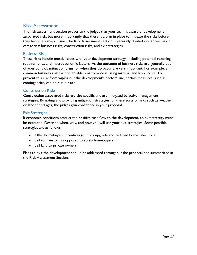## <span id="page-28-0"></span>Risk Assessment

The risk assessment section proves to the judges that your team is aware of developmentassociated risk, but more importantly that there is a plan in place to mitigate the risks before they become a major issue. The Risk Assessment section is generally divided into three major categories: business risks, construction risks, and exit strategies.

#### Business Risks

These risks include mostly issues with your development strategy, including potential rezoning requirements, and macroeconomic factors. As the outcome of business risks are generally out of your control, mitigation plans for when they do occur are very important. For example, a common business risk for homebuilders nationwide is rising material and labor costs. To prevent this risk from wiping out the development's bottom line, certain measures, such as contingencies, can be put in place.

#### Construction Risks

Construction associated risks are site-specific and are mitigated by active management strategies. By noting and providing mitigation strategies for these sorts of risks such as weather or labor shortages, the judges gain confidence in your proposal.

#### Exit Strategies

If economic conditions restrict the positive cash flow to the development, an exit strategy must be executed. Describe when, why, and how you will use your exit strategies. Some possible strategies are as follows:

- Offer homebuyers incentives (options upgrade and reduced home sales price)
- Sell to investors as opposed to solely homebuyers
- Sell land to private owners

Plans to exit the development should be addressed throughout the proposal and summarized in the Risk Assessment Section.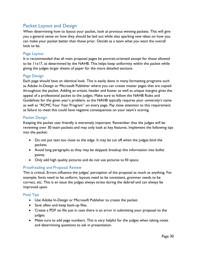## <span id="page-29-0"></span>Packet Layout and Design

When determining how to layout your packet, look at previous winning packets. This will give you a general sense on how they should be laid out while also sparking new ideas on how you can make your packet better than those prior. Decide as a team what you want the overall look to be.

#### Page Layout

It is recommended that all main proposal pages be portrait-oriented except for those allowed to be 11x17, as determined by the NAHB. This helps keep uniformity within the packet while giving the judges larger sheets of paper for the more detailed sections.

#### Page Design

Each page should have an identical look. This is easily done in many formatting programs such as Adobe In-Design or Microsoft Publisher where you can create master pages that are copied throughout the packet. Adding an artistic header and footer as well as unique margins gives the appeal of a professional packet to the judges. Make sure to follow the NAHB Rules and Guidelines for the given year's problem, as the NAHB typically requires your university's name as well as "RCMC Four Year Program" on every page. Pay close attention to this requirement as failure to meet this could have negative consequences on your team's scoring.

#### Packet Design

Keeping the packet user friendly is extremely important. Remember that the judges will be reviewing over 30 team packets and may only look at key features. Implement the following tips into the packet:

- Do not put text too close to the edge. It may be cut off when the judges bind the packets.
- Avoid long paragraphs as they may be skipped; breakup this information into bullet points.
- Only add high quality pictures and do not use pictures to fill space.

#### Proofreading and Proposal Review

This is critical. Errors influence the judges' perception of the proposal as much as anything. For example, fonts need to be uniform, layouts need to be consistent, grammar needs to be correct, etc. This is an issue the judges always stress during the debrief and can always be improved upon.

#### Final Tips

- Use Adobe In-Design or Microsoft Publisher to create the packet.
- Save often and keep back-up files.
- Create a PDF on file just in case there is an error in submitting your proposal to the judges.
- Make sure to add page numbers. This is very helpful for the judges when taking notes and determining questions to ask in presentation.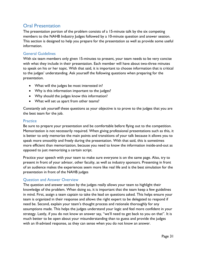## <span id="page-30-0"></span>Oral Presentation

The presentation portion of the problem consists of a 15-minute talk by the six competing members to the NAHB Industry Judges followed by a 10-minute question and answer session. This section is designed to help you prepare for the presentation as well as provide some useful information.

#### General Guidelines

With six team members only given 15-minutes to present, your team needs to be very concise with what they include in their presentation. Each member will have about two-three minutes to speak on his or her topic. With that said, it is important to choose information that is critical to the judges' understanding. Ask yourself the following questions when preparing for the presentation.

- What will the judges be most interested in?
- Why is this information important to the judges?
- Why should the judges know this information?
- What will set us apart from other teams?

Constantly ask yourself these questions as your objective is to prove to the judges that you are the best team for the job.

#### **Practice**

Be sure to prepare your presentation and be comfortable before flying out to the competition. Memorization is not necessarily required. When giving professional presentations such as this, it is better to only memorize the main points and transitions of your talk because it allows you to speak more smoothly and freely during the presentation. With that said, this is sometimes more efficient than memorization, because you need to know the information inside-and-out as opposed to just memorizing a certain script.

Practice your speech with your team to make sure everyone is on the same page. Also, try to present in front of your advisor, other faculty, as well as industry sponsors. Presenting in front of an audience makes the experiences seem more like real life and is the best simulation for the presentation in front of the NAHB judges

#### Question and Answer Overview

The question and answer section by the judges really allows your team to highlight their knowledge of the problem. When doing so, it is important that the team keep a few guidelines in mind. First, assign a team captain to take the lead on questions asked. This helps ensure your team is organized in their response and allows the right expert to be delegated to respond if need be. Second, explain your team's thought process and rationale thoroughly for any assumptions made. This helps the judges understand your logic and feel more confident in your strategy. Lastly, if you do not know an answer say, "we'll need to get back to you on that". It is much better to be open about your misunderstanding than to guess and provide the judges with an ill-advised response, as they can sense when you do not know an answer.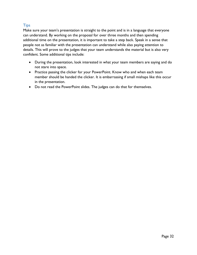### **Tips**

Make sure your team's presentation is straight to the point and is in a language that everyone can understand. By working on the proposal for over three months and then spending additional time on the presentation, it is important to take a step back. Speak in a sense that people not as familiar with the presentation can understand while also paying attention to details. This will prove to the judges that your team understands the material but is also very confident. Some additional tips include:

- During the presentation, look interested in what your team members are saying and do not stare into space.
- Practice passing the clicker for your PowerPoint. Know who and when each team member should be handed the clicker. It is embarrassing if small mishaps like this occur in the presentation.
- Do not read the PowerPoint slides. The judges can do that for themselves.